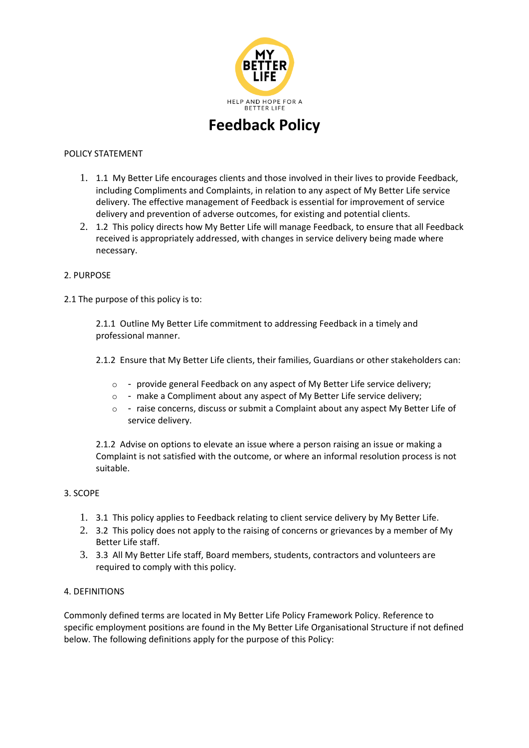

# POLICY STATEMENT

- 1. 1.1 My Better Life encourages clients and those involved in their lives to provide Feedback, including Compliments and Complaints, in relation to any aspect of My Better Life service delivery. The effective management of Feedback is essential for improvement of service delivery and prevention of adverse outcomes, for existing and potential clients.
- 2. 1.2 This policy directs how My Better Life will manage Feedback, to ensure that all Feedback received is appropriately addressed, with changes in service delivery being made where necessary.

# 2. PURPOSE

2.1 The purpose of this policy is to:

2.1.1 Outline My Better Life commitment to addressing Feedback in a timely and professional manner.

2.1.2 Ensure that My Better Life clients, their families, Guardians or other stakeholders can:

- $\circ$  provide general Feedback on any aspect of My Better Life service delivery;
- o make a Compliment about any aspect of My Better Life service delivery;
- $\circ$  raise concerns, discuss or submit a Complaint about any aspect My Better Life of service delivery.

2.1.2 Advise on options to elevate an issue where a person raising an issue or making a Complaint is not satisfied with the outcome, or where an informal resolution process is not suitable.

# 3. SCOPE

- 1. 3.1 This policy applies to Feedback relating to client service delivery by My Better Life.
- 2. 3.2 This policy does not apply to the raising of concerns or grievances by a member of My Better Life staff.
- 3. 3.3 All My Better Life staff, Board members, students, contractors and volunteers are required to comply with this policy.

## 4. DEFINITIONS

Commonly defined terms are located in My Better Life Policy Framework Policy. Reference to specific employment positions are found in the My Better Life Organisational Structure if not defined below. The following definitions apply for the purpose of this Policy: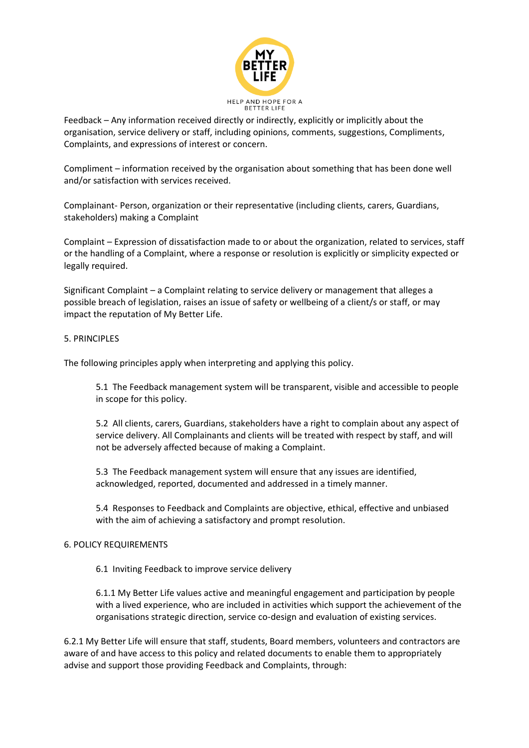

Feedback – Any information received directly or indirectly, explicitly or implicitly about the organisation, service delivery or staff, including opinions, comments, suggestions, Compliments, Complaints, and expressions of interest or concern.

Compliment – information received by the organisation about something that has been done well and/or satisfaction with services received.

Complainant- Person, organization or their representative (including clients, carers, Guardians, stakeholders) making a Complaint

Complaint – Expression of dissatisfaction made to or about the organization, related to services, staff or the handling of a Complaint, where a response or resolution is explicitly or simplicity expected or legally required.

Significant Complaint – a Complaint relating to service delivery or management that alleges a possible breach of legislation, raises an issue of safety or wellbeing of a client/s or staff, or may impact the reputation of My Better Life.

## 5. PRINCIPLES

The following principles apply when interpreting and applying this policy.

5.1 The Feedback management system will be transparent, visible and accessible to people in scope for this policy.

5.2 All clients, carers, Guardians, stakeholders have a right to complain about any aspect of service delivery. All Complainants and clients will be treated with respect by staff, and will not be adversely affected because of making a Complaint.

5.3 The Feedback management system will ensure that any issues are identified, acknowledged, reported, documented and addressed in a timely manner.

5.4 Responses to Feedback and Complaints are objective, ethical, effective and unbiased with the aim of achieving a satisfactory and prompt resolution.

## 6. POLICY REQUIREMENTS

6.1 Inviting Feedback to improve service delivery

6.1.1 My Better Life values active and meaningful engagement and participation by people with a lived experience, who are included in activities which support the achievement of the organisations strategic direction, service co-design and evaluation of existing services.

6.2.1 My Better Life will ensure that staff, students, Board members, volunteers and contractors are aware of and have access to this policy and related documents to enable them to appropriately advise and support those providing Feedback and Complaints, through: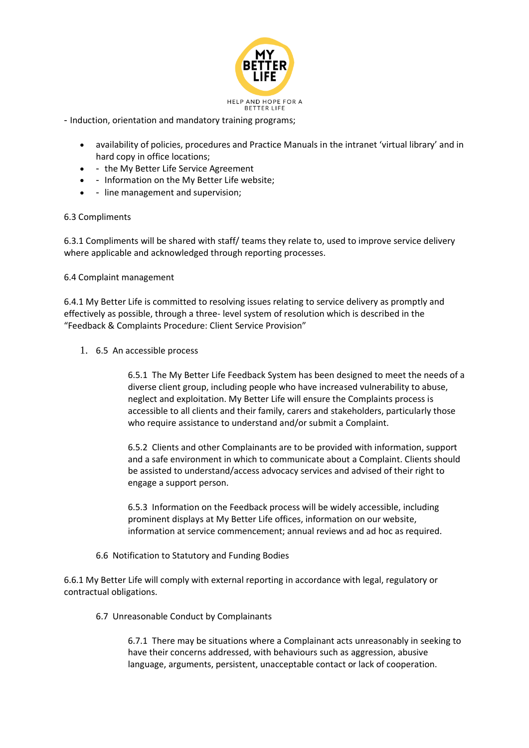

- Induction, orientation and mandatory training programs;

- availability of policies, procedures and Practice Manuals in the intranet 'virtual library' and in hard copy in office locations;
- - the My Better Life Service Agreement
- - Information on the My Better Life website;
- - line management and supervision;

## 6.3 Compliments

6.3.1 Compliments will be shared with staff/ teams they relate to, used to improve service delivery where applicable and acknowledged through reporting processes.

6.4 Complaint management

6.4.1 My Better Life is committed to resolving issues relating to service delivery as promptly and effectively as possible, through a three- level system of resolution which is described in the "Feedback & Complaints Procedure: Client Service Provision"

1. 6.5 An accessible process

6.5.1 The My Better Life Feedback System has been designed to meet the needs of a diverse client group, including people who have increased vulnerability to abuse, neglect and exploitation. My Better Life will ensure the Complaints process is accessible to all clients and their family, carers and stakeholders, particularly those who require assistance to understand and/or submit a Complaint.

6.5.2 Clients and other Complainants are to be provided with information, support and a safe environment in which to communicate about a Complaint. Clients should be assisted to understand/access advocacy services and advised of their right to engage a support person.

6.5.3 Information on the Feedback process will be widely accessible, including prominent displays at My Better Life offices, information on our website, information at service commencement; annual reviews and ad hoc as required.

6.6 Notification to Statutory and Funding Bodies

6.6.1 My Better Life will comply with external reporting in accordance with legal, regulatory or contractual obligations.

6.7 Unreasonable Conduct by Complainants

6.7.1 There may be situations where a Complainant acts unreasonably in seeking to have their concerns addressed, with behaviours such as aggression, abusive language, arguments, persistent, unacceptable contact or lack of cooperation.